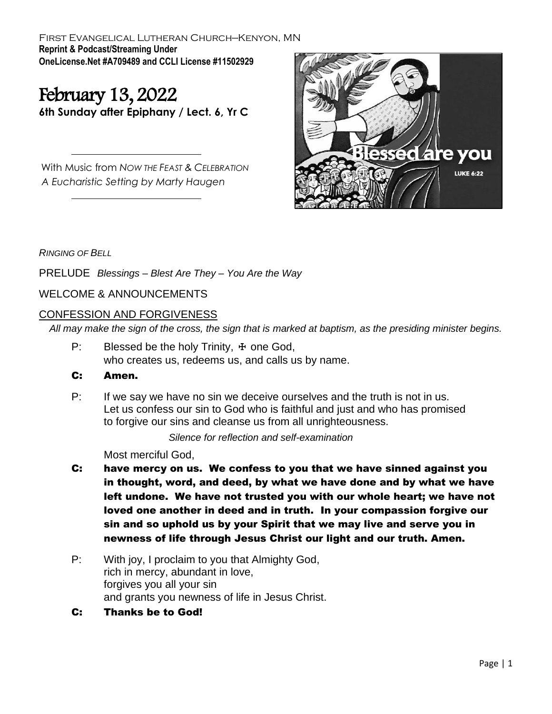First Evangelical Lutheran Church—Kenyon, MN **Reprint & Podcast/Streaming Under OneLicense.Net #A709489 and CCLI License #11502929**

# February 13, 2022

**6th Sunday after Epiphany / Lect. 6, Yr C**

With Music from *NOW THE FEAST & CELEBRATION A Eucharistic Setting by Marty Haugen*



*RINGING OF BELL*

PRELUDE *Blessings – Blest Are They – You Are the Way* 

WELCOME & ANNOUNCEMENTS

### CONFESSION AND FORGIVENESS

*All may make the sign of the cross, the sign that is marked at baptism, as the presiding minister begins.*

P: Blessed be the holy Trinity,  $\pm$  one God, who creates us, redeems us, and calls us by name.

#### C: Amen.

P: If we say we have no sin we deceive ourselves and the truth is not in us. Let us confess our sin to God who is faithful and just and who has promised to forgive our sins and cleanse us from all unrighteousness.

*Silence for reflection and self-examination*

Most merciful God,

- C: have mercy on us. We confess to you that we have sinned against you in thought, word, and deed, by what we have done and by what we have left undone. We have not trusted you with our whole heart; we have not loved one another in deed and in truth. In your compassion forgive our sin and so uphold us by your Spirit that we may live and serve you in newness of life through Jesus Christ our light and our truth. Amen.
- P: With joy, I proclaim to you that Almighty God, rich in mercy, abundant in love, forgives you all your sin and grants you newness of life in Jesus Christ.
- C: Thanks be to God!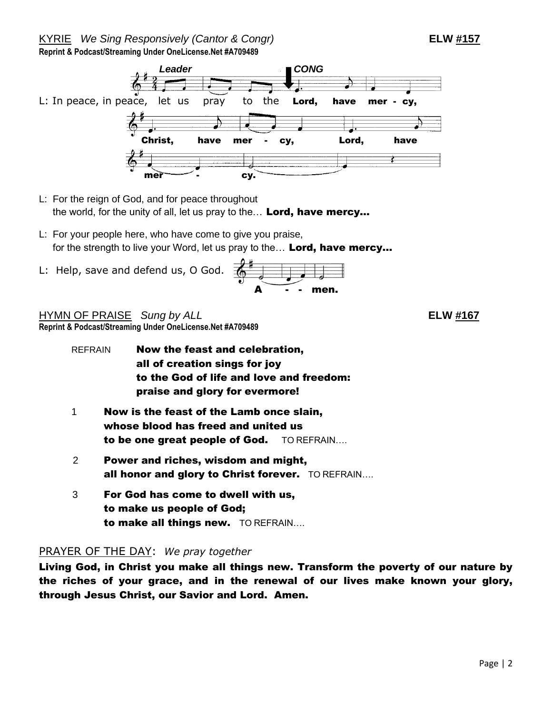#### KYRIE *We Sing Responsively (Cantor & Congr)* **ELW #157 Reprint & Podcast/Streaming Under OneLicense.Net #A709489**

# *Leader CONG* L: In peace, in peace, let us pray to the Lord, have mer - cy, Christ, have mer - cy, Lord, have Ì  $\blacksquare$  cy.

- L: For the reign of God, and for peace throughout the world, for the unity of all, let us pray to the... Lord, have mercy...
- L: For your people here, who have come to give you praise, for the strength to live your Word, let us pray to the... Lord, have mercy...
- L: Help, save and defend us, O God.



HYMN OF PRAISE *Sung by ALL* **ELW #167 Reprint & Podcast/Streaming Under OneLicense.Net #A709489**

| REFRAIN | Now the feast and celebration,           |
|---------|------------------------------------------|
|         | all of creation sings for joy            |
|         | to the God of life and love and freedom: |
|         | praise and glory for evermore!           |
| 1       | Now is the feast of the Lamb once slain, |
|         | whose blood has freed and united us      |

- to be one great people of God. TO REFRAIN.... 2 Power and riches, wisdom and might,
- all honor and glory to Christ forever. TO REFRAIN....
- 3 For God has come to dwell with us, to make us people of God; to make all things new. TO REFRAIN….

## PRAYER OF THE DAY: *We pray together*

Living God, in Christ you make all things new. Transform the poverty of our nature by the riches of your grace, and in the renewal of our lives make known your glory, through Jesus Christ, our Savior and Lord. Amen.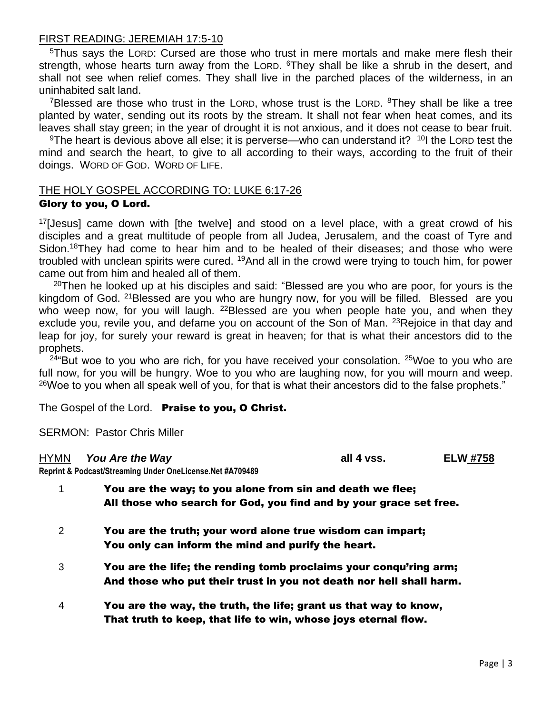#### FIRST READING: JEREMIAH 17:5-10

<sup>5</sup>Thus says the LORD: Cursed are those who trust in mere mortals and make mere flesh their strength, whose hearts turn away from the LORD. <sup>6</sup>They shall be like a shrub in the desert, and shall not see when relief comes. They shall live in the parched places of the wilderness, in an uninhabited salt land.

<sup>7</sup>Blessed are those who trust in the LORD, whose trust is the LORD.  $8$ They shall be like a tree planted by water, sending out its roots by the stream. It shall not fear when heat comes, and its leaves shall stay green; in the year of drought it is not anxious, and it does not cease to bear fruit.

<sup>9</sup>The heart is devious above all else; it is perverse—who can understand it?  $101$  the LORD test the mind and search the heart, to give to all according to their ways, according to the fruit of their doings. WORD OF GOD. WORD OF LIFE.

# THE HOLY GOSPEL ACCORDING TO: LUKE 6:17-26

#### Glory to you, O Lord.

 $17$ [Jesus] came down with [the twelve] and stood on a level place, with a great crowd of his disciples and a great multitude of people from all Judea, Jerusalem, and the coast of Tyre and Sidon.<sup>18</sup>They had come to hear him and to be healed of their diseases; and those who were troubled with unclean spirits were cured. <sup>19</sup>And all in the crowd were trying to touch him, for power came out from him and healed all of them.

 $20$ Then he looked up at his disciples and said: "Blessed are you who are poor, for yours is the kingdom of God. <sup>21</sup>Blessed are you who are hungry now, for you will be filled. Blessed are you who weep now, for you will laugh. <sup>22</sup>Blessed are you when people hate you, and when they exclude you, revile you, and defame you on account of the Son of Man. <sup>23</sup>Rejoice in that day and leap for joy, for surely your reward is great in heaven; for that is what their ancestors did to the prophets.

 $24$ "But woe to you who are rich, for you have received your consolation.  $25$ Woe to you who are full now, for you will be hungry. Woe to you who are laughing now, for you will mourn and weep. <sup>26</sup>Woe to you when all speak well of you, for that is what their ancestors did to the false prophets."

The Gospel of the Lord.Praise to you, O Christ.

SERMON: Pastor Chris Miller

#### HYMN *You Are the Way* **all 4 vss. ELW #758**

**Reprint & Podcast/Streaming Under OneLicense.Net #A709489**

| $\mathbf{1}$   | You are the way; to you alone from sin and death we flee;<br>All those who search for God, you find and by your grace set free.          |
|----------------|------------------------------------------------------------------------------------------------------------------------------------------|
| 2              | You are the truth; your word alone true wisdom can impart;<br>You only can inform the mind and purify the heart.                         |
| 3              | You are the life; the rending tomb proclaims your conqu'ring arm;<br>And those who put their trust in you not death nor hell shall harm. |
| $\overline{4}$ | You are the way, the truth, the life; grant us that way to know,<br>That truth to keep, that life to win, whose joys eternal flow.       |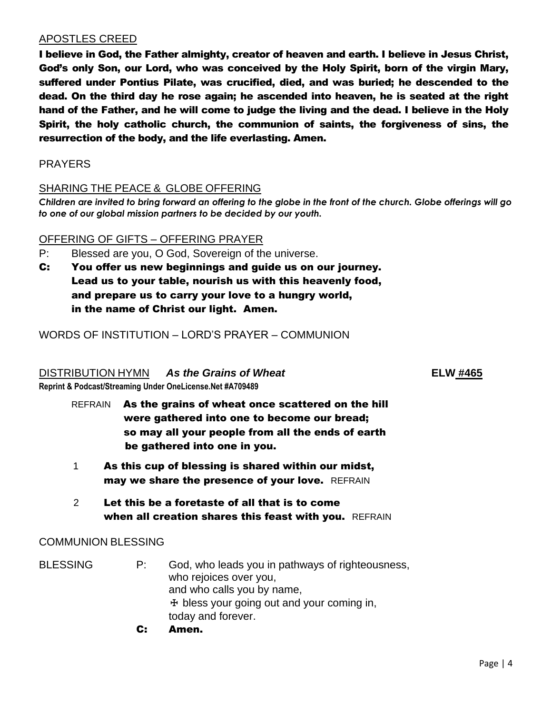### APOSTLES CREED

I believe in God, the Father almighty, creator of heaven and earth. I believe in Jesus Christ, God's only Son, our Lord, who was conceived by the Holy Spirit, born of the virgin Mary, suffered under Pontius Pilate, was crucified, died, and was buried; he descended to the dead. On the third day he rose again; he ascended into heaven, he is seated at the right hand of the Father, and he will come to judge the living and the dead. I believe in the Holy Spirit, the holy catholic church, the communion of saints, the forgiveness of sins, the resurrection of the body, and the life everlasting. Amen.

#### PRAYERS

### SHARING THE PEACE & GLOBE OFFERING

*Children are invited to bring forward an offering to the globe in the front of the church. Globe offerings will go to one of our global mission partners to be decided by our youth.*

#### OFFERING OF GIFTS – OFFERING PRAYER

- P: Blessed are you, O God, Sovereign of the universe.
- C: You offer us new beginnings and guide us on our journey. Lead us to your table, nourish us with this heavenly food, and prepare us to carry your love to a hungry world, in the name of Christ our light. Amen.

WORDS OF INSTITUTION – LORD'S PRAYER – COMMUNION

#### DISTRIBUTION HYMN*As the Grains of Wheat* **ELW #465**

**Reprint & Podcast/Streaming Under OneLicense.Net #A709489**

- REFRAIN As the grains of wheat once scattered on the hill were gathered into one to become our bread; so may all your people from all the ends of earth be gathered into one in you.
- 1 As this cup of blessing is shared within our midst, may we share the presence of your love. REFRAIN
- 2 Let this be a foretaste of all that is to come when all creation shares this feast with you. REFRAIN

#### COMMUNION BLESSING

- BLESSING P: God, who leads you in pathways of righteousness, who rejoices over you, and who calls you by name,  $<sup>+</sup>$  bless your going out and your coming in,</sup> today and forever.
	- C: Amen.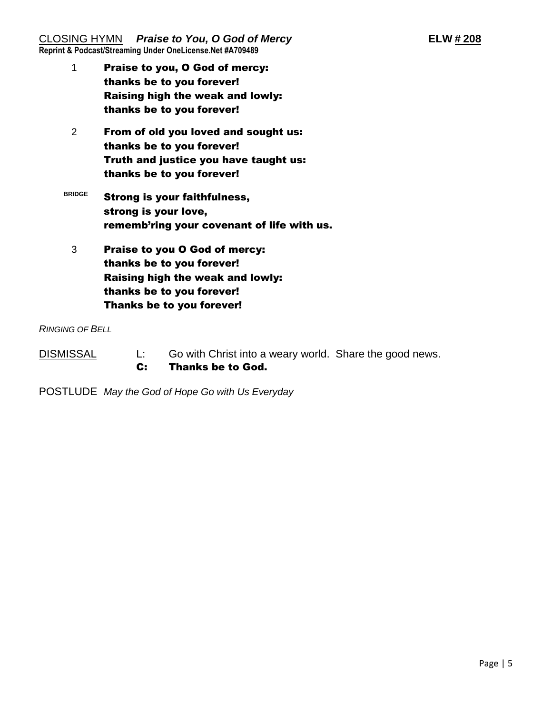CLOSING HYMN *Praise to You, O God of Mercy* **ELW # 208 Reprint & Podcast/Streaming Under OneLicense.Net #A709489**

- 1 Praise to you, O God of mercy: thanks be to you forever! Raising high the weak and lowly: thanks be to you forever!
- 2 From of old you loved and sought us: thanks be to you forever! Truth and justice you have taught us: thanks be to you forever!
- **BRIDGE** Strong is your faithfulness, strong is your love, rememb'ring your covenant of life with us.
	- 3 Praise to you O God of mercy: thanks be to you forever! Raising high the weak and lowly: thanks be to you forever! Thanks be to you forever!

*RINGING OF BELL*

- DISMISSAL L: Go with Christ into a weary world. Share the good news. C: Thanks be to God.
- POSTLUDE *May the God of Hope Go with Us Everyday*